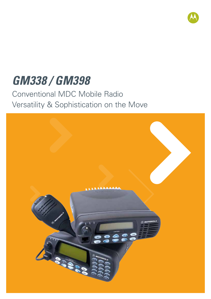

# *GM338 / GM398*

## Conventional MDC Mobile Radio Versatility & Sophistication on the Move

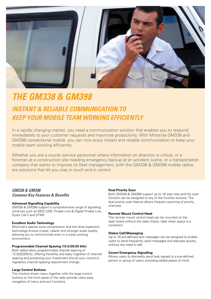

## *The GM338 & GM398*

## *Instant & Reliable Communication to Keep Your Mobile Team Working Efficiently*

In a rapidly changing market, you need a communication solution that enables you to respond immediately to your customer requests and maximise productivity. With Motorola GM338 and GM398 conventional mobile, you can now enjoy instant and reliable communication to keep your mobile team working efficiently.

Whether you are a courier service personnel where information on direction is critical, or a foreman at a construction site needing emergency backup at an accident scene, or a transportation company that wants to improve its fleet management, both the GM338 & GM398 mobile radios are solutions that let you stay in touch and in control.

## *GM338 & GM398 Common Key Features & Benefits*

## **Advanced Signalling Capability**

GM338 & GM398 support a comprehensive range of signalling schemes such as MDC1200, Private Line & Digital Private Line, Quick Call II and DTMF.

## **Excellent Audio Technology**

Motorola's special voice compression and low level expansion technology ensure crisper, clearer and stronger audio quality, allowing you to communicate even in a noisy working environment.

## **Programmable Channel Spacing (12.5/20/25 kHz)**

Both radios allow programmable channel spacing of 12.5/20/25kHz, offering flexibility and easy migration of channel spacing and protecting your investment should your country's regulatory channel spacing requirement change.

## **Large Control Buttons**

The intuitive driven menu together with the large control buttons on the front panel of the radio provide users easy navigation of menu and exit functions.

## **Dual Priority Scan**

Both GM338 & GM398 support up to 16 scan lists and the scan function can be assigned to any of the function buttons. The dual priority scan feature allows frequent scanning of priority channels.

## **Remote Mount Control Head**

The remote mount control head can be mounted on the dash board without the radio chasis, ideal when space is a constraint.

## **Status Call/Messaging**

Up to 16 pre-defined text messages can be assigned to enable users to send frequently used messages and statuses quickly, without the need to talk.

## **Covert Emergency Signalling**

Allows users to discreetly send help signals to a pre-defined person or group of users, providing added peace of mind.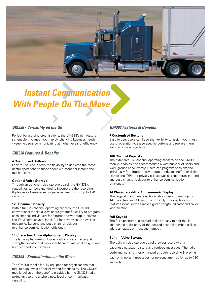

## *Instant Communication With People On The Move*

## *GM338 - Versatility on the Go*

Perfect for growing organisations, the GM338's rich feature set enable it to meet your rapidly changing business needs - keeping users communicating at higher levels of efficiency.

## *GM338 Features & Benefits*

## **4 Customised Buttons**

Easy to use, users have the flexibility to dedicate the most useful operations to these specific buttons for instant onetouch access.

## **Optional Voice Storage**

Through an optional voice storage board, the GM338's capabilities can be expanded to incorporate the recording & playback of messages, or personal memos for up to 120 seconds.

## **128 Channel Capacity**

With a full 128-channel operating capacity, the GM338 conventional mobile allows users greater flexibility to program each channel individually for different power output, private line (PL)/Digital private line (DPL) for privacy call, as well as repeater/talkaround and busy channel lock out to enhance communication efficiency.

## **14 Characters 1-line Alphanumeric Display**

The large alphanumeric display with icons such as signal strength indicator and caller identification makes it easy to read both text and icon displays.

## *GM398 - Sophistication on the Move*

The GM398 mobile is fully equipped for organisations that require high levels of flexibility and functionality. The GM398 mobile builds on the benefits provided by the GM338 radio, taking its users to a whole new level of communication capability.

## *GM398 Features & Benefits*

## **7 Customised Buttons**

Easy to use, users can have the flexibility to assign your most useful operation to these specific buttons and replace them with recognised symbols.

## **160 Channel Capacity**

The extensive 160-channel operating capacity on the GM398 mobile enables it to accommodate a vast number of users and work groups concurrently. Users can program each channel individually for different power output, private line(PL) or digital private line (DPL) for privacy call, as well as repeater/talkaround and busy channel lock out to enhance communication efficiency.

## **14 Characters 4-line Alphanumeric Display**

The large alphanumeric display enables users to read up to 14 characters and 4 lines of text quickly. The display also features icons such as radio signal strength indicator and caller identification.

## **Full Keypad**

The full alphanumeric keypad makes it easy to edit the list and enable quick entry of the desired channel number, call list address, status or message number.

## **Built-in Voice Storage**

The built-in voice storage board provides users with a paperless notepad to store and retrieve messages. The radio performance is further enhanced through recording & playing back of important messages, or personal memos for up to 120 seconds.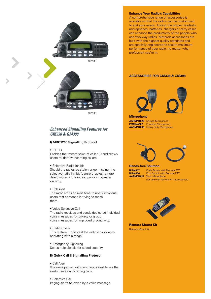

GM398

## *Enhanced Signalling Features for GM338 & GM398*

## **I) MDC1200 Signalling Protocol**

#### • PTT ID

Enables the transmission of caller ID and allows users to identify incoming callers.

#### • Selective Radio Inhibit

Should the radios be stolen or go missing, the selective radio inhibit feature enables remote deactivation of the radios, providing greater security.

• Call Alert

The radio emits an alert tone to notify individual users that someone is trying to reach them.

• Voice Selective Call

The radio receives and sends dedicated individual voice messages for privacy or group voice messages for improved productivity.

• Radio Check This feature monitors if the radio is working or operating within range.

• Emergency Signalling Sends help signals for added security.

## **II) Quick Call II Signalling Protocol**

• Call Alert Voiceless paging with continuous alert tones that alerts users on incoming calls.

• Selective Call Paging alerts followed by a voice message.

## **Enhance Your Radio's Capabilities**

A comprehensive range of accessories is available so that the radios can be customised to suit your needs. Adding the proper headsets, microphones, batteries, chargers or carry cases can enhance the productivity of the people who use two-way radios. Motorola accessories are built with the highest quality standards and are specially engineered to assure maximum performance of your radio, no matter what profession you're in.

## **ACCESSORIES FOR GM338 & GM398**





**Microphone AARMN4026** Keypad Microphone **Compact Microphone AARMN4038** Heavy Duty Microphone



#### **Hands-free Solution**

**RLN4857** Push Button with Remote PTT<br>**RLN4856** Foot Switch with Remote PTT **RLN4856** Foot Switch with Remote PTT<br>**AARMN4027** Visor Microphone **Visor Microphone** (for use with remote PTT accessories)



**Remote Mount Kit** Remote Mount Kit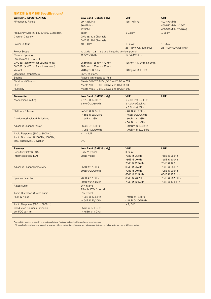## **GM338 & GM398 Specifications**

| כווטוסאוווט <del>סעט טכטוווע א</del> טכטוווט  |                                                      |                       |                       |  |  |  |  |
|-----------------------------------------------|------------------------------------------------------|-----------------------|-----------------------|--|--|--|--|
| <b>GENERAL SPECIFICATION</b>                  | Low Band (GM338 only)                                | <b>VHF</b>            | <b>UHF</b>            |  |  |  |  |
| *Frequency Range                              | 29.7-36MHz                                           | 136-174MHz            | 403-470MHz            |  |  |  |  |
|                                               | 36-42MHz                                             |                       | 450-527MHz (1-25W)    |  |  |  |  |
|                                               | 42-50MHz                                             |                       | 450-520MHz (25-40W)   |  |  |  |  |
| Frequency Stability (-30 C to 60 C, 25c Ref,) | 5ppm                                                 | ± 2.5pm               | $± 2$ ppm             |  |  |  |  |
| <b>Channel Capacity</b>                       | <b>GM338: 128 Channels</b>                           |                       |                       |  |  |  |  |
|                                               | GM398: 160 Channels                                  |                       |                       |  |  |  |  |
| Power Output                                  | $40 - 60 W$                                          | $1 - 25W$             | $1 - 25W$             |  |  |  |  |
|                                               |                                                      | 25 - 45W (GM338 only) | 25 - 40W (GM338 only) |  |  |  |  |
| Power Supply                                  | 13.2Vdc (10.8 - 15.6 Vdc) Negative Vehicle ground    |                       |                       |  |  |  |  |
| <b>Channel Spacing</b>                        | 12.5/20/30kHz                                        | 12.5/20/25 kHz        |                       |  |  |  |  |
| Dimensions (L x W x H)                        |                                                      |                       |                       |  |  |  |  |
| GM338: (add 9mm for volume knob)              | 255mm x 185mm x 72mm                                 | 186mm x 179mm x 59mm  |                       |  |  |  |  |
| GM398: (add 7mm for volume knob)              | 188mm x 185mm x 72mm                                 |                       |                       |  |  |  |  |
| Weight                                        | 2040gms (4.5lbs)                                     | 1400gms (3.15 lbs)    |                       |  |  |  |  |
| <b>Operating Temperature</b>                  | -30 $\mathrm{^{\circ}C}$ to +60 $\mathrm{^{\circ}C}$ |                       |                       |  |  |  |  |
| Sealing                                       | Passes rain testing to IP54                          |                       |                       |  |  |  |  |
| <b>Shock and Vibration</b>                    | Meets MIL-STD 810-c, D&E and TIA/EIA 603             |                       |                       |  |  |  |  |
| Dust                                          | Meets MIL-STD 810-C, D&E and TIA/EIA 603             |                       |                       |  |  |  |  |
| Humidity                                      | Meets MIL-STD 810-C, D&E and TIA/EIA 603             |                       |                       |  |  |  |  |
|                                               |                                                      |                       |                       |  |  |  |  |
| <b>Transmitter</b>                            | Low Band (GM338 only)                                | <b>VHF</b>            | <b>UHF</b>            |  |  |  |  |
| <b>Modulation Limiting</b>                    | ± 12.5@12.5kHz                                       | ± 2.5kHz @12.5kHz     |                       |  |  |  |  |
|                                               | ± 5.0 @ 20/30kHz                                     | ± 4.0kHz @20kHz       |                       |  |  |  |  |
|                                               |                                                      | $± 5.0$ kHz @25kHz    |                       |  |  |  |  |
| FM Hum & Noise                                | -40dB @ 12.5kHz                                      | -40dB @ 12.5kHz       |                       |  |  |  |  |
|                                               |                                                      |                       |                       |  |  |  |  |
|                                               | -45dB @ 20/30kHz                                     | -45dB @ 20/25kHz      |                       |  |  |  |  |
| <b>Conducted/Radiated Emissions</b>           | $-26dB < 1GHz$                                       | $-36$ d $Bm < 1$ GHz  |                       |  |  |  |  |
|                                               |                                                      | $-30$ d $Bm < 1$ GHz  |                       |  |  |  |  |
| <b>Adjacent Channel Power</b>                 | $-60dB < 12.5kHz$                                    | - 60dBm @ 12.5kHz     |                       |  |  |  |  |
|                                               | $-70dB < 20/30kHz$                                   | - 70dBm @ 20/25kHz    |                       |  |  |  |  |
| Audio Response (300 to 3000Hz)                | $+ 1, -3dB$                                          |                       |                       |  |  |  |  |
| Audio Distortion @ 1000Hz, 1000Hz,            |                                                      |                       |                       |  |  |  |  |
| 60% Rated Max, Deviation                      | 3%                                                   |                       |                       |  |  |  |  |
|                                               |                                                      |                       |                       |  |  |  |  |
| <b>Receiver</b>                               | Low Band (GM338 only)                                | <b>VHF</b>            | <b>UHF</b>            |  |  |  |  |
| Sensitivity (12dBSINAD                        | 0.25uV Typical                                       | 0.22uV                |                       |  |  |  |  |
| Intermodulation (EIA)                         | 78dB Typical                                         | 78dB @ 25kHz          | 75dB @ 25kHz          |  |  |  |  |
|                                               |                                                      | 78dB @ 20kHz          | 75dB @ 20kHz          |  |  |  |  |
|                                               |                                                      | 75dB @ 12.5kHz        | 75dB @ 12.5kHz        |  |  |  |  |
| <b>Adjacent Channel Selectivity</b>           | 65dB @ 12.5kHz                                       | 80dB @ 25kHz          | 75dB @ 25kHz          |  |  |  |  |
|                                               | 80dB @ 20/30kHz                                      | 70dB @ 20kHz          | 70dB @ 20kHz          |  |  |  |  |
|                                               |                                                      | 65dB @ 12.5kHz        | 65dB @ 12.5kHz        |  |  |  |  |
| <b>Spirious Rejection</b>                     | 70dB @ 12.5kHz                                       | 80dB @ 20/25kHz       | 75dB @ 20/25kHz       |  |  |  |  |
|                                               | 80dB @ 20/30kHz                                      | 75dB @ 12.5kHz        | 70dB @ 12.5kHz        |  |  |  |  |
| <b>Rated Audio</b>                            | 3W Internal                                          |                       |                       |  |  |  |  |
|                                               | 7.5W & 13W External                                  |                       |                       |  |  |  |  |
| Audio Distortion @ rated audio                | 3% Typical                                           |                       |                       |  |  |  |  |
| Hum & Noise                                   | -40dB @ 12.5kHz                                      | -40dB @ 12.5kHz       |                       |  |  |  |  |
|                                               | -45dB @ 20/30kHz                                     | -45dB @ 20/25kHz      |                       |  |  |  |  |
| Audio Response (300 to 3000Hz)                |                                                      | $+1$ , 3dB            |                       |  |  |  |  |
| <b>Conducted Spurious Emission</b>            | $-57dBm > 1 GHz$                                     |                       |                       |  |  |  |  |
| per FCC part 15                               | $-47dBm > 1$ GHz                                     |                       |                       |  |  |  |  |
|                                               |                                                      |                       |                       |  |  |  |  |

\* Availability subject to country law and regulations. Radios meet applicable regulatory requirements.

All specifications shown are subject to change without notice. Specifications are not representative of all radios and may vary in different radios.